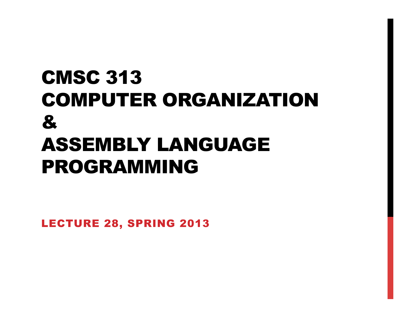## CMSC 313 COMPUTER ORGANIZATION & ASSEMBLY LANGUAGE PROGRAMMING

LECTURE 28, SPRING 2013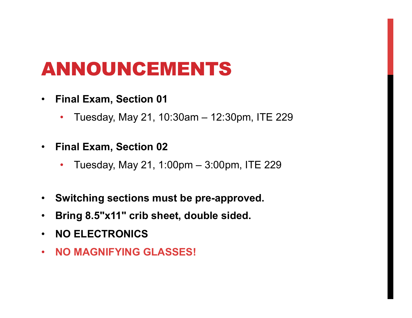## ANNOUNCEMENTS

- **Final Exam, Section 01** 
	- Tuesday, May 21, 10:30am 12:30pm, ITE 229
- **Final Exam, Section 02** 
	- Tuesday, May 21, 1:00pm 3:00pm, ITE 229
- **Switching sections must be pre-approved.**
- **Bring 8.5"x11" crib sheet, double sided.**
- **NO ELECTRONICS**
- **NO MAGNIFYING GLASSES!**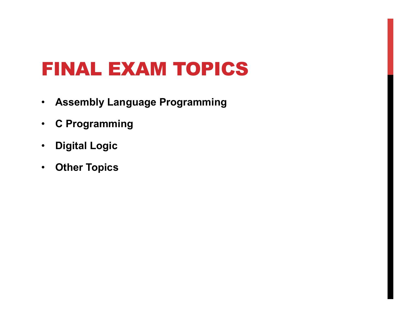## FINAL EXAM TOPICS

- **Assembly Language Programming**
- **C Programming**
- **Digital Logic**
- **Other Topics**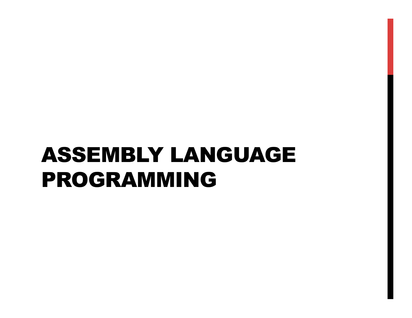# ASSEMBLY LANGUAGE PROGRAMMING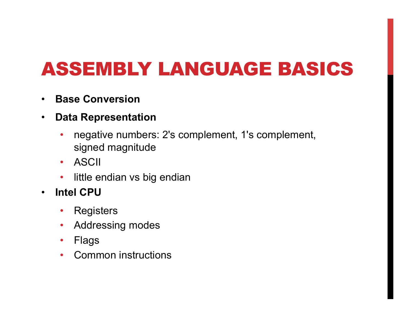## ASSEMBLY LANGUAGE BASICS

- **Base Conversion**
- **Data Representation** 
	- negative numbers: 2's complement, 1's complement, signed magnitude
	- ASCII
	- little endian vs big endian
- **Intel CPU** 
	- Registers
	- Addressing modes
	- Flags
	- Common instructions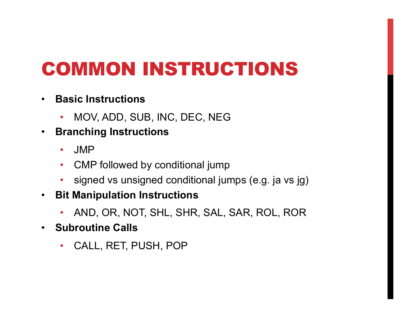## COMMON INSTRUCTIONS

- **Basic Instructions** 
	- MOV, ADD, SUB, INC, DEC, NEG
- **Branching Instructions** 
	- JMP
	- CMP followed by conditional jump
	- signed vs unsigned conditional jumps (e.g. ja vs jg)
- **Bit Manipulation Instructions** 
	- AND, OR, NOT, SHL, SHR, SAL, SAR, ROL, ROR
- **Subroutine Calls** 
	- CALL, RET, PUSH, POP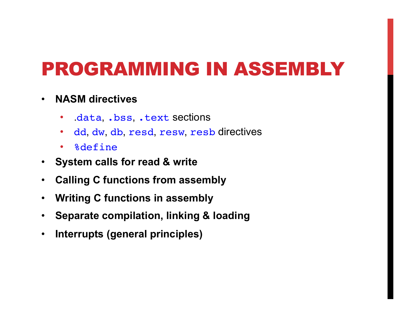### PROGRAMMING IN ASSEMBLY

#### • **NASM directives**

- .data, .bss, .text sections
- dd, dw, db, resd, resw, resb directives
- %define
- **System calls for read & write**
- **Calling C functions from assembly**
- **Writing C functions in assembly**
- **Separate compilation, linking & loading**
- **Interrupts (general principles)**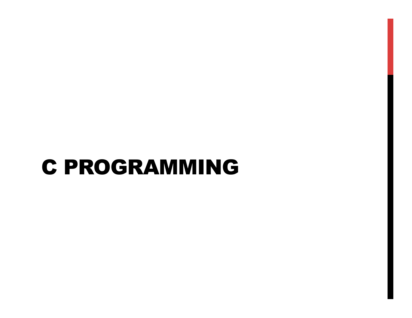## C PROGRAMMING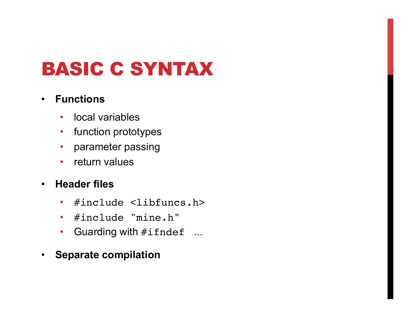## BASIC C SYNTAX

#### • **Functions**

- local variables
- function prototypes
- parameter passing
- return values
- **Header files** 
	- #include <libfuncs.h>
	- #include "mine.h"
	- Guarding with #ifndef ...
- **Separate compilation**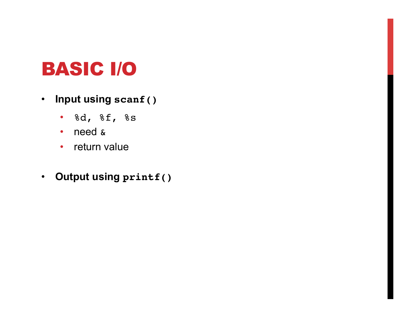#### BASIC I/O

- **Input using scanf()** 
	- %d, %f, %s
	- need &
	- return value
- **Output using printf()**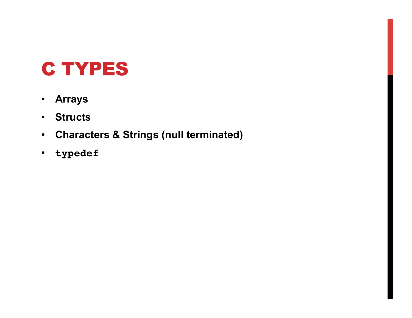### C TYPES

- **Arrays**
- **Structs**
- **Characters & Strings (null terminated)**
- **typedef**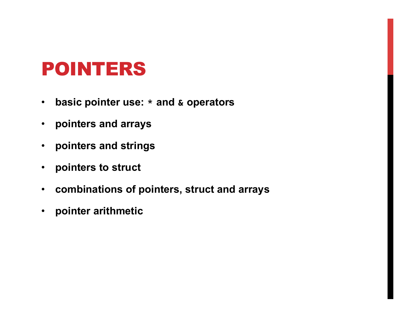#### POINTERS

- **basic pointer use: \* and & operators**
- **pointers and arrays**
- **pointers and strings**
- **pointers to struct**
- **combinations of pointers, struct and arrays**
- **pointer arithmetic**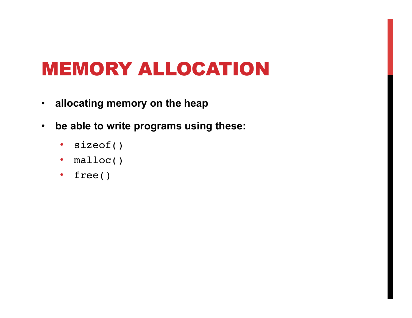### MEMORY ALLOCATION

- **allocating memory on the heap**
- **be able to write programs using these:** 
	- sizeof()
	- malloc()
	- free()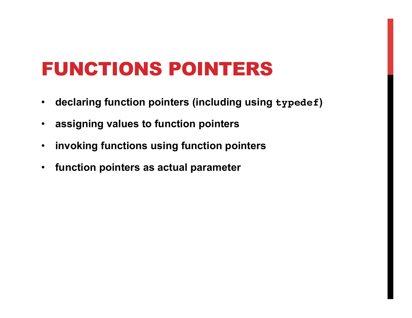#### FUNCTIONS POINTERS

- **declaring function pointers (including using typedef)**
- **assigning values to function pointers**
- **invoking functions using function pointers**
- **function pointers as actual parameter**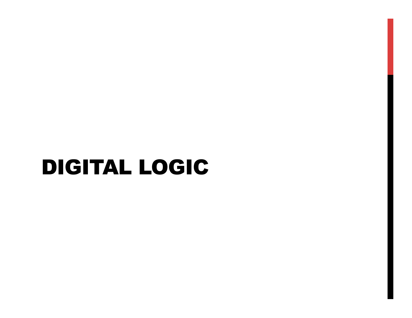## DIGITAL LOGIC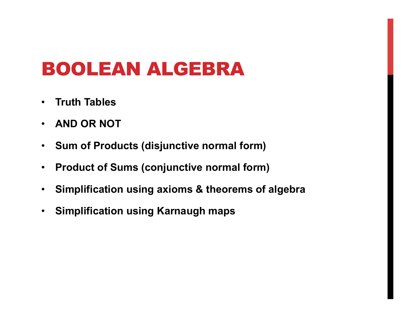### BOOLEAN ALGEBRA

- **Truth Tables**
- **AND OR NOT**
- **Sum of Products (disjunctive normal form)**
- **Product of Sums (conjunctive normal form)**
- **Simplification using axioms & theorems of algebra**
- **Simplification using Karnaugh maps**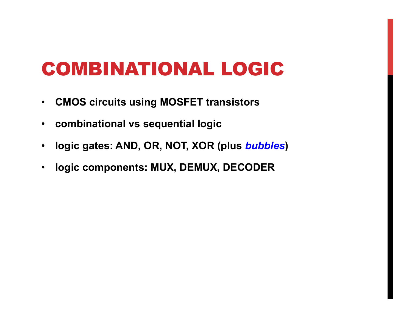#### COMBINATIONAL LOGIC

- **CMOS circuits using MOSFET transistors**
- **combinational vs sequential logic**
- **logic gates: AND, OR, NOT, XOR (plus** *bubbles***)**
- **logic components: MUX, DEMUX, DECODER**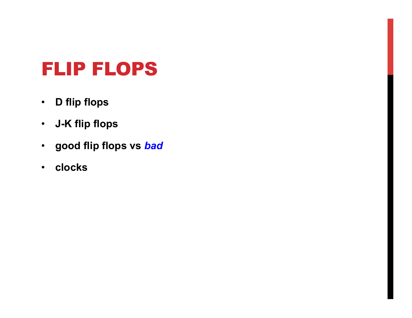#### FLIP FLOPS

- **D flip flops**
- **J-K flip flops**
- **good flip flops vs** *bad*
- **clocks**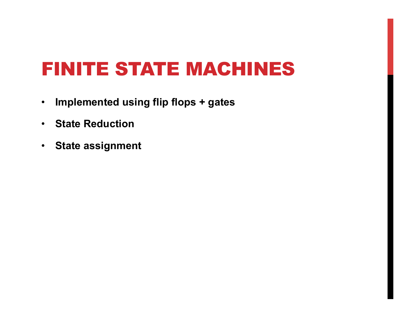#### FINITE STATE MACHINES

- **Implemented using flip flops + gates**
- **State Reduction**
- **State assignment**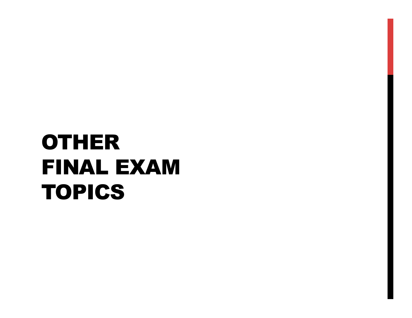# OTHER FINAL EXAM TOPICS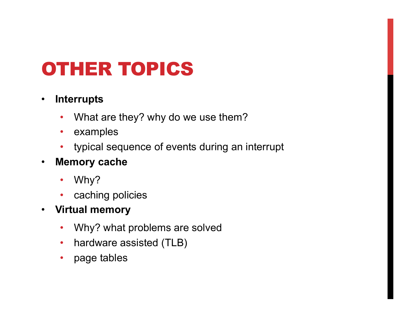## OTHER TOPICS

#### • **Interrupts**

- What are they? why do we use them?
- examples
- typical sequence of events during an interrupt
- **Memory cache** 
	- Why?
	- caching policies
- **Virtual memory** 
	- Why? what problems are solved
	- hardware assisted (TLB)
	- page tables